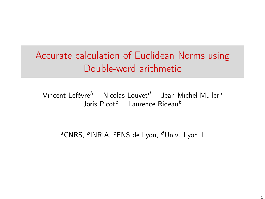# Accurate calculation of Euclidean Norms using Double-word arithmetic

Vincent Lefèvre $^b$   $\;\;\;$  Nicolas Louvet $^d$   $\;\;$  Jean-Michel Muller $^a$ Joris Picot<sup>c</sup> Laurence Rideau<sup>b</sup>

<sup>a</sup>CNRS, <sup>b</sup>INRIA, <sup>c</sup>ENS de Lyon, <sup>d</sup>Univ. Lyon 1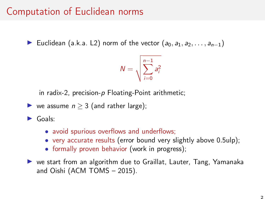## Computation of Euclidean norms

► Euclidean (a.k.a. L2) norm of the vector  $(a_0, a_1, a_2, \ldots, a_{n-1})$ 

$$
N=\sqrt{\sum_{i=0}^{n-1}a_i^2}
$$

in radix-2, precision-p Floating-Point arithmetic;

$$
\blacktriangleright
$$
 we assume  $n \geq 3$  (and rather large);

 $\blacktriangleright$  Goals:

- avoid spurious overflows and underflows;
- very accurate results (error bound very slightly above 0.5ulp);
- formally proven behavior (work in progress);

I we start from an algorithm due to Graillat, Lauter, Tang, Yamanaka and Oishi (ACM TOMS – 2015).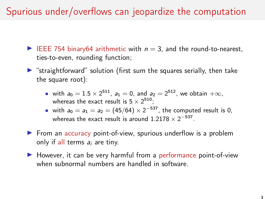Spurious under/overflows can jeopardize the computation

- EEE 754 binary64 arithmetic with  $n = 3$ , and the round-to-nearest, ties-to-even, rounding function;
- $\triangleright$  "straightforward" solution (first sum the squares serially, then take the square root):
	- with  $a_0 = 1.5 \times 2^{511}$ ,  $a_1 = 0$ , and  $a_2 = 2^{512}$ , we obtain  $+\infty$ , whereas the exact result is  $5 \times 2^{510}$ ;
	- with  $a_0 = a_1 = a_2 = (45/64) \times 2^{-537}$ , the computed result is 0, whereas the exact result is around 1.2178  $\times$  2<sup>-537</sup>.
- $\triangleright$  From an accuracy point-of-view, spurious underflow is a problem only if all terms  $a_i$  are tiny.
- $\blacktriangleright$  However, it can be very harmful from a performance point-of-view when subnormal numbers are handled in software.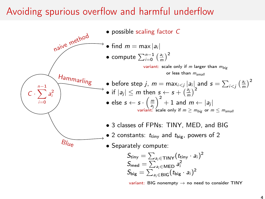#### Avoiding spurious overflow and harmful underflow



variant: BIG nonempty  $\rightarrow$  no need to consider TINY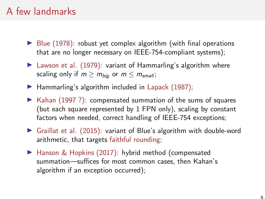### A few landmarks

- $\triangleright$  Blue (1978): robust yet complex algorithm (with final operations that are no longer necessary on IEEE-754-compliant systems);
- $\blacktriangleright$  Lawson et al. (1979): variant of Hammarling's algorithm where scaling only if  $m > m_{biq}$  or  $m < m_{small}$ ;
- $\blacktriangleright$  Hammarling's algorithm included in Lapack (1987);
- $\triangleright$  Kahan (1997 ?): compensated summation of the sums of squares (but each square represented by 1 FPN only), scaling by constant factors when needed, correct handling of IEEE-754 exceptions;
- $\triangleright$  Graillat et al. (2015): variant of Blue's algorithm with double-word arithmetic, that targets faithful rounding;
- ▶ Hanson & Hopkins (2017): hybrid method (compensated summation—suffices for most common cases, then Kahan's algorithm if an exception occurred);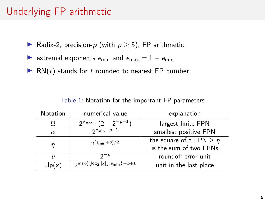### Underlying FP arithmetic

- ▶ Radix-2, precision- $p$  (with  $p \geq 5$ ), FP arithmetic,
- Extremal exponents  $e_{\min}$  and  $e_{\max} = 1 e_{\min}$
- $\blacktriangleright$  RN(t) stands for t rounded to nearest FP number.

| <b>Notation</b>   | numerical value                                                     | explanation                     |  |
|-------------------|---------------------------------------------------------------------|---------------------------------|--|
| Ω                 | $\sqrt{2^{e_{\max}} \cdot (2-2^{-p+1})}$                            | largest finite FPN              |  |
| $\alpha$          | $2^e$ min $-p+1$                                                    | smallest positive FPN           |  |
| $\eta$            | $2(e_{\min}+p)/2$                                                   | the square of a FPN $\geq \eta$ |  |
|                   |                                                                     | is the sum of two FPNs          |  |
| IJ                | $2-p$                                                               | roundoff error unit             |  |
| $\mathsf{ulp}(x)$ | $\frac{1}{2}$ max{ $\lfloor log_2  x  \rfloor$ , $e_{\min}$ } – p+1 | unit in the last place          |  |

Table 1: Notation for the important FP parameters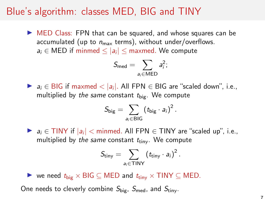#### Blue's algorithm: classes MED, BIG and TINY

 $\triangleright$  MED Class: FPN that can be squared, and whose squares can be accumulated (up to  $n_{\text{max}}$  terms), without under/overflows.  $a_i \in \mathsf{MED}$  if minmed  $\leq |a_i| \leq \mathsf{maxmed}.$  We compute

$$
S_{\text{med}} = \sum_{a_i \in \text{MED}} a_i^2;
$$

▶  $a_i \in \text{BIG}$  if maxmed  $\langle |a_i|$ . All FPN  $\in$  BIG are "scaled down", i.e., multiplied by the same constant  $t_{\text{big}}$ . We compute

$$
S_{\text{big}} = \sum_{a_i \in \text{BIG}} \left( t_{\text{big}} \cdot a_i \right)^2.
$$

▶  $a_i \in \text{TINY}$  if  $|a_i| < \text{minmed.}$  All FPN  $\in \text{TINY}$  are "scaled up", i.e., multiplied by the same constant  $t_{\text{tiny}}$ . We compute

$$
S_{\text{tiny}} = \sum_{a_i \in \text{TINY}} \left( t_{\text{tiny}} \cdot a_i \right)^2.
$$

 $\triangleright$  we need  $t_{\text{big}} \times \text{BIG} \subseteq \text{MED}$  and  $t_{\text{tiny}} \times \text{TINY} \subseteq \text{MED}$ . One needs to cleverly combine  $S_{\text{big}}$ ,  $S_{\text{med}}$ , and  $S_{\text{tiny}}$ .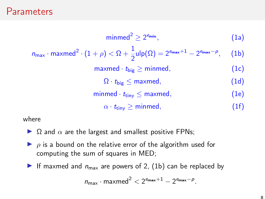#### **Parameters**

<span id="page-7-0"></span>
$$
\text{minmed}^2 \geq 2^{\text{emin}}, \tag{1a}
$$
\n
$$
n_{\text{max}} \cdot \text{maxmed}^2 \cdot (1 + \rho) < \Omega + \frac{1}{2} \text{ulp}(\Omega) = 2^{\text{emax}+1} - 2^{\text{emax}-\rho}, \tag{1b}
$$
\n
$$
\text{maxmed} \cdot t_{\text{big}} \geq \text{minmed}, \tag{1c}
$$
\n
$$
\Omega \cdot t_{\text{big}} \leq \text{maxmed}, \tag{1d}
$$
\n
$$
\text{minmed} \cdot t_{\text{tiny}} \leq \text{maxmed}, \tag{1e}
$$
\n
$$
\alpha \cdot t_{\text{tiny}} \geq \text{minmed}, \tag{1f}
$$

where

- $\triangleright$   $\Omega$  and  $\alpha$  are the largest and smallest positive FPNs;
- $\rho$  is a bound on the relative error of the algorithm used for computing the sum of squares in MED;
- If maxmed and  $n_{\text{max}}$  are powers of 2, [\(1b\)](#page-7-0) can be replaced by

$$
n_{\max} \cdot \text{maxmed}^2 < 2^{e_{\max}+1} - 2^{e_{\max} - p}.
$$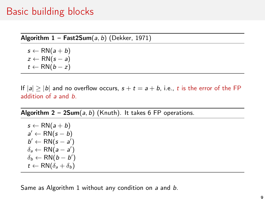#### Basic building blocks

Algorithm  $1 - \text{Fast2Sum}(a, b)$  (Dekker, 1971)

<span id="page-8-0"></span> $s \leftarrow \mathsf{RN}(a+b)$  $z \leftarrow \text{RN}(s - a)$  $t \leftarrow \mathsf{RN}(b-z)$ 

If  $|a| > |b|$  and no overflow occurs,  $s + t = a + b$ , i.e., t is the error of the FP addition of a and b.

Algorithm  $2 - 2Sum(a, b)$  (Knuth). It takes 6 FP operations.

 $s \leftarrow \mathsf{RN}(a+b)$  $a' \leftarrow \mathsf{RN}(s - b)$  $b' \leftarrow \mathsf{RN}(s - a')$  $\delta_a \leftarrow \mathsf{RN}(a-a')$  $\delta_b \leftarrow \mathsf{RN}(b-b')$  $t \leftarrow \mathsf{RN}(\delta_a + \delta_b)$ 

Same as Algorithm [1](#page-8-0) without any condition on a and b.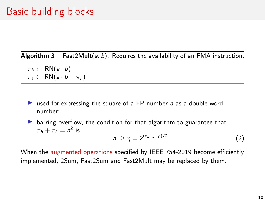Algorithm  $3$  – Fast2Mult(a, b). Requires the availability of an FMA instruction.

 $\pi_h \leftarrow \mathsf{RN}(a \cdot b)$  $\pi_{\ell} \leftarrow \text{RN}(a \cdot b - \pi_h)$ 

 $\triangleright$  used for expressing the square of a FP number a as a double-word number;

 $\triangleright$  barring overflow, the condition for that algorithm to guarantee that  $\pi_h + \pi_\ell = a^2$  is

$$
|a| \ge \eta = 2^{(e_{\min} + p)/2}.\tag{2}
$$

When the augmented operations specified by IEEE 754-2019 become efficiently implemented, 2Sum, Fast2Sum and Fast2Mult may be replaced by them.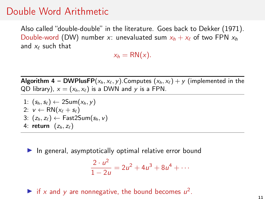#### Double Word Arithmetic

Also called "double-double" in the literature. Goes back to Dekker (1971). Double-word (DW) number x: unevaluated sum  $x_h + x_\ell$  of two FPN  $x_h$ and  $x_{\ell}$  such that

 $x_h = RN(x)$ .

**Algorithm 4 – DWPlusFP**( $x_h, x_\ell, y$ ).Computes ( $x_h, x_\ell$ ) + y (implemented in the QD library),  $x = (x_h, x_\ell)$  is a DWN and y is a FPN.

1:  $(s_h, s_{\ell}) \leftarrow 2Sum(x_h, y)$ 2:  $v \leftarrow \text{RN}(x_\ell + s_\ell)$ 3:  $(z_h, z_\ell) \leftarrow$  Fast2Sum( $s_h, v$ ) 4: return  $(z_h, z_\ell)$ 

 $\blacktriangleright$  In general, asymptotically optimal relative error bound

$$
\frac{2 \cdot u^2}{1 - 2u} = 2u^2 + 4u^3 + 8u^4 + \cdots
$$

if x and y are nonnegative, the bound becomes  $u^2$ .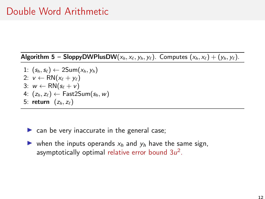Algorithm 5 – SloppyDWPlusDW( $x_h, x_{\ell}, y_h, y_{\ell}$ ). Computes  $(x_h, x_{\ell}) + (y_h, y_{\ell})$ .

1:  $(s_h, s_f) \leftarrow 2Sum(x_h, y_h)$ 2:  $v \leftarrow \text{RN}(x_\ell + y_\ell)$ 3:  $w \leftarrow RN(s_{\ell} + v)$ 4:  $(z_h, z_{\ell}) \leftarrow$  Fast2Sum( $s_h, w$ ) 5: return  $(z_h, z_{\ell})$ 

 $\triangleright$  can be very inaccurate in the general case;

ightharpoonup when the inputs operands  $x_h$  and  $y_h$  have the same sign, asymptotically optimal relative error bound  $3u^2$ .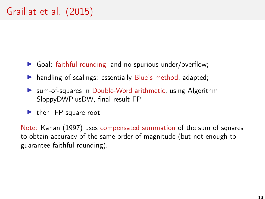- $\triangleright$  Goal: faithful rounding, and no spurious under/overflow;
- $\blacktriangleright$  handling of scalings: essentially Blue's method, adapted;
- ▶ sum-of-squares in Double-Word arithmetic, using Algorithm SloppyDWPlusDW, final result FP;
- $\blacktriangleright$  then, FP square root.

Note: Kahan (1997) uses compensated summation of the sum of squares to obtain accuracy of the same order of magnitude (but not enough to guarantee faithful rounding).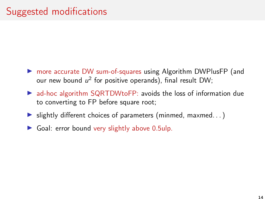- ▶ more accurate DW sum-of-squares using Algorithm DWPlusFP (and our new bound  $u^2$  for positive operands), final result DW;
- $\triangleright$  ad-hoc algorithm SQRTDWtoFP: avoids the loss of information due to converting to FP before square root;
- $\blacktriangleright$  slightly different choices of parameters (minmed, maxmed...)
- $\triangleright$  Goal: error bound very slightly above 0.5ulp.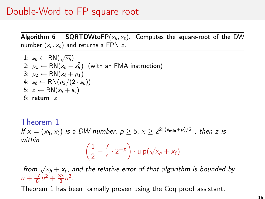#### Double-Word to FP square root

Algorithm 6 – SQRTDWtoFP( $x_h, x_\ell$ ). Computes the square-root of the DW number  $(x_h, x_\ell)$  and returns a FPN z.

1: 
$$
s_h \leftarrow \text{RN}(\sqrt{x_h})
$$
  
\n2:  $\rho_1 \leftarrow \text{RN}(x_h - s_h^2)$  (with an FMA instruction)  
\n3:  $\rho_2 \leftarrow \text{RN}(x_\ell + \rho_1)$   
\n4:  $s_\ell \leftarrow \text{RN}(\rho_2/(2 \cdot s_h))$   
\n5:  $z \leftarrow \text{RN}(s_h + s_\ell)$   
\n6: return z

<span id="page-14-0"></span>Theorem 1 If  $x = (x_h, x_\ell)$  is a DW number,  $p \geq 5$ ,  $x \geq 2^{2\lceil(\epsilon_{\sf min} + p)/2\rceil}$ , then z is within  $\sqrt{2}$ √

$$
\left(\frac{1}{2}+\frac{7}{4}\cdot 2^{-p}\right)\cdot \mathrm{ulp}(\sqrt{x_h+x_\ell})
$$

from  $\sqrt{x_h + x_\ell}$ , and the relative error of that algorithm is bounded by  $u + \frac{17}{8}u^2 + \frac{33}{8}u^3$ .

Theorem [1](#page-14-0) has been formally proven using the Coq proof assistant.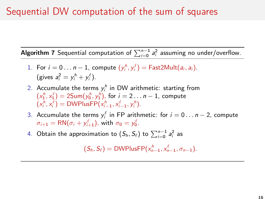### Sequential DW computation of the sum of squares

**Algorithm 7** Sequential computation of  $\sum_{i=0}^{n-1} a_i^2$  assuming no under/overflow.

- 1. For  $i = 0 \ldots n-1$ , compute  $(y_i^h, y_i^{\ell}) = \textsf{Fast2Mult}(a_i, a_i)$ . (gives  $a_i^2 = y_i^h + y_i^\ell$ ).
- 2. Accumulate the terms  $y_i^h$  in DW arithmetic: starting from  $(x_1^h, x_1^\ell) = 2$ Sum $(y_0^h, y_1^h)$ , for  $i = 2 \ldots n-1$ , compute  $(x_i^h, x_i^{\ell}) = \text{DWPlusFP}(x_{i-1}^h, x_{i-1}^{\ell}, y_i^h).$
- 3. Accumulate the terms  $y_i^{\ell}$  in FP arithmetic: for  $i = 0 \dots n-2$ , compute  $\sigma_{i+1} = \mathsf{RN}(\sigma_i + y_{i+1}^{\ell}),$  with  $\sigma_{0} = y_{0}^{\ell}.$
- 4. Obtain the approximation to  $(\mathcal{S}_h, \mathcal{S}_\ell)$  to  $\sum_{i=0}^{n-1} a_i^2$  as

 $(S_h, S_\ell) = \text{DWPlusFP}(x_{n-1}^h, x_{n-1}^\ell, \sigma_{n-1}).$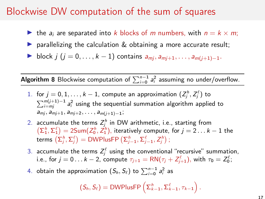#### Blockwise DW computation of the sum of squares

- In the  $a_i$  are separated into k blocks of m numbers, with  $n = k \times m$ ;
- $\triangleright$  parallelizing the calculation & obtaining a more accurate result;
- **IF** block j (j = 0, ..., k 1) contains  $a_{mi}$ ,  $a_{mi+1}$ , ...,  $a_{mi}(i+1)$ –1.

**Algorithm 8** Blockwise computation of  $\sum_{i=0}^{n-1} a_i^2$  assuming no under/overflow.

- <span id="page-16-0"></span> $1.$  for  $j=0,1,\ldots,k-1,$  compute an approximation  $(Z^\hbar_j,Z^\ell_j)$  to  $\sum_{i=mj}^{m(j+1)-1}$  a $_i^2$  using the sequential summation algorithm applied to  $a_{mj}, a_{mj+1}, a_{mj+2}, \ldots, a_{m(j+1)-1};$
- 2. accumulate the terms  $Z_j^h$  in DW arithmetic, i.e., starting from  $\left(\sum_{i=1}^{h} \sum_{i=1}^{\ell} \epsilon\right) = 25$ um $(Z_0^h, Z_1^h)$ , iteratively compute, for  $j = 2 \ldots k - 1$  the terms  $\left(\Sigma^h_j,\Sigma^{\ell}_j\right) = {\sf DWPlusFP}\left(\Sigma^h_{j-1},\Sigma^{\ell}_{j-1},Z^h_j\right)$  ;
- 3. accumulate the terms  $Z^\ell_j$  using the conventional "recursive" summation, i.e., for  $j=0\ldots k-2,$  compute  $\tau_{j+1}=\textsf{RN}(\tau_j+Z_{j+1}^{\ell}),$  with  $\tau_{\textbf{0}}=Z_{\textbf{0}}^{\ell};$
- 4. obtain the approximation  $(S_h, S_\ell)$  to  $\sum_{i=0}^{n-1} a_i^2$  as

$$
(S_h, S_\ell) = \text{DWPlusFP}\left(\Sigma_{k-1}^h, \Sigma_{k-1}^\ell, \tau_{k-1}\right).
$$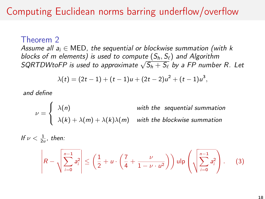### Computing Euclidean norms barring underflow/overflow

Theorem 2

Assume all  $a_i \in \mathsf{MED}$ , the sequential or blockwise summation (with k blocks of m elements) is used to compute  $(S_h, S_{\ell})$  and Algorithm blocks of in elements) is used to compute  $(S_h, S_\ell)$  and Algorithm<br>SQRTDWtoFP is used to approximate  $\sqrt{S_h + S_\ell}$  by a FP number R. Let

$$
\lambda(t)=(2t-1)+(t-1)u+(2t-2)u^2+(t-1)u^3,
$$

and define

$$
\nu = \begin{cases} \lambda(n) & \text{with the sequential summation} \\ \lambda(k) + \lambda(m) + \lambda(k)\lambda(m) & \text{with the blockwise summation} \end{cases}
$$

If 
$$
\nu < \frac{1}{2u}
$$
, then:  
\n
$$
\left| R - \sqrt{\sum_{i=0}^{n-1} a_i^2} \right| \le \left( \frac{1}{2} + u \cdot \left( \frac{7}{4} + \frac{\nu}{1 - \nu \cdot u^2} \right) \right) \mathrm{ulp} \left( \sqrt{\sum_{i=0}^{n-1} a_i^2} \right). \tag{3}
$$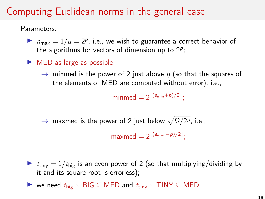Parameters:

- $\blacktriangleright$   $n_{\text{max}} = 1/u = 2^p$ , i.e., we wish to guarantee a correct behavior of the algorithms for vectors of dimension up to  $2^p$ ;
- $\blacktriangleright$  MED as large as possible:
	- $\rightarrow$  minmed is the power of 2 just above  $\eta$  (so that the squares of the elements of MED are computed without error), i.e.,

 $\text{minmed} = 2^{\lceil (e_{\text{min}} + p)/2 \rceil};$ 

 $\rightarrow$  maxmed is the power of 2 just below  $\sqrt{\Omega/2^p}$ , i.e.,

 $\mathsf{maxmed} = 2^{\lfloor (\mathsf{e_{max}} - p)/2 \rfloor};$ 

- $\triangleright$   $t_{\text{tiny}} = 1/t_{\text{big}}$  is an even power of 2 (so that multiplying/dividing by it and its square root is errorless);
- $\triangleright$  we need  $t_{\text{big}} \times \text{BIG} \subseteq \text{MED}$  and  $t_{\text{tiny}} \times \text{TINY} \subseteq \text{MED}$ .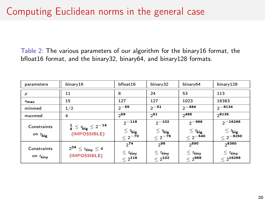Table 2: The various parameters of our algorithm for the binary16 format, the bfloat16 format, and the binary32, binary64, and binary128 formats.

| parameters                          | binary16                                                       | bfloat16                                                  | binary32                                               | binary64                                                | binary128                                                  |
|-------------------------------------|----------------------------------------------------------------|-----------------------------------------------------------|--------------------------------------------------------|---------------------------------------------------------|------------------------------------------------------------|
| р                                   | 11                                                             | 8                                                         | 24                                                     | 53                                                      | 113                                                        |
| $e_{\textbf{max}}$                  | 15                                                             | 127                                                       | 127                                                    | 1023                                                    | 16383                                                      |
| minmed                              | 1/2                                                            | $2 - 59$                                                  | $2^{\sim 51}$                                          | $2 - 484$                                               | $2 - 8134$                                                 |
| maxmed                              | 4                                                              | 259                                                       | $2^{51}$                                               | 2485                                                    | 28135                                                      |
| Constraints<br>on $t_{\text{big}}$  | $\frac{1}{4} \leq t_{\text{big}} \leq 2^{-14}$<br>(IMPOSSIBLE) | $2^{\sim}$ 118<br>$\leq t_{\text{big}}$<br>$\leq 2^{-70}$ | $2^{\sim}$ 102<br>$\leq t_{\text{big}}$<br>$< 2^{-78}$ | $2^{\sim 968}$<br>$\leq t_{\text{big}}$<br>$< 2^{-540}$ | $2^{\sim}$ 16268<br>$\leq t_{\text{big}}$<br>$< 2^{-8250}$ |
| Constraints<br>on $t_{\text{tiny}}$ | $2^{24} \leq t_{\sf tiny} \leq 4$<br>(IMPOSSIBLE)              | 274<br>$\leq t_{\sf tiny}$<br>$\leq 2^{118}$              | 298<br>$\leq t_{\text{tiny}}$<br>$\leq 2^{102}$        | 2590<br>$\leq t_{\sf tiny}$<br>$< 2^{968}$              | 28360<br>$\leq t_{\text{tiny}}$<br>$\leq 2^{16268}$        |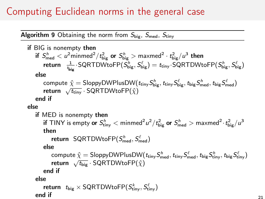Algorithm 9 Obtaining the norm from  $S_{big}$ ,  $S_{\text{med}}$ ,  $S_{\text{tiny}}$ 

<span id="page-20-0"></span>if 
$$
BIG
$$
 is nonempty *then*

\nif  $S_{\text{med}}^h < u^2 \text{minmed}^2 / t_{\text{big}}^2$  or  $S_{\text{big}}^h > \text{maxmed}^2 \cdot t_{\text{big}}^2 / u^3$  then

\nreturn  $\frac{1}{t_{\text{big}}}$ .  $SQRTDWtoFP(S_{\text{big}}^h, S_{\text{big}}^{\ell}) = t_{\text{tiny}}$ .  $SQRTDWtoFP(S_{\text{big}}^h, S_{\text{big}}^{\ell})$ 

\nelse

\ncompute  $\hat{\chi} = \text{SloppyDWPlusDW}(t_{\text{tiny}}S_{\text{big}}^h, t_{\text{tiny}}S_{\text{big}}^{\ell}, t_{\text{big}}S_{\text{med}}^h, t_{\text{big}}S_{\text{med}}^{\ell})$ 

\nreturn  $\sqrt{t_{\text{tiny}}}$ .  $SQRTDWtoFP(\hat{\chi})$ 

\nend if

\nelse

\nif MED is nonempty *then*

\nif TINY is empty or  $S_{\text{tiny}}^h$   $<$  minmed<sup>2</sup>  $u^2 / t_{\text{big}}^2$  or  $S_{\text{med}}^h$   $>$  maxmed<sup>2</sup>  $t_{\text{big}}^2 / u^3$ 

\nthen

\nreturn  $SQRTDWtoFP(S_{\text{med}}^h, S_{\text{med}}^{\ell})$ 

\nelse

\ncompute  $\hat{\chi} = \text{SloppyDWPlusDW}(t_{\text{tiny}}S_{\text{med}}^h, t_{\text{tiny}}S_{\text{med}}^{\ell}, t_{\text{big}}S_{\text{tiny}}^h, t_{\text{big}}S_{\text{tiny}}^{\ell})$ 

\nreturn  $\sqrt{t_{\text{big}}}$ .  $SQRTDWtoFP(\hat{\chi})$ 

\nend if

\nelse

\nelse

\nif  $$ 

```
\mathsf{return} \;\; \; t_{\mathsf{big}} \times \mathsf{SQRTDW}to\mathsf{FP}(S_{\mathsf{tiny}}^k, S_{\mathsf{tiny}}^\ell)end if
```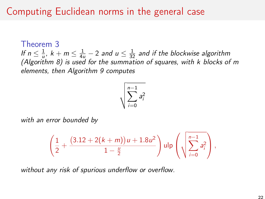Theorem 3 If  $n \leq \frac{1}{u}$ ,  $k + m \leq \frac{1}{4u} - 2$  and  $u \leq \frac{1}{32}$  and if the blockwise algorithm (Algorithm [8\)](#page-16-0) is used for the summation of squares, with  $k$  blocks of m elements, then Algorithm [9](#page-20-0) computes

$$
\sqrt{\sum_{i=0}^{n-1} a_i^2}
$$

with an error bounded by

$$
\left(\frac{1}{2}+\frac{(3.12+2(k+m))u+1.8u^2}{1-\frac{u}{2}}\right)u\ln\left(\sqrt{\sum_{i=0}^{n-1}a_i^2}\right),\,
$$

without any risk of spurious underflow or overflow.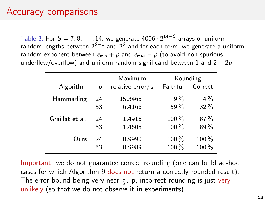#### Accuracy comparisons

Table 3: For  $S = 7, 8, \ldots, 14$ , we generate 4096  $\cdot 2^{14-S}$  arrays of uniform random lengths between  $2^{S-1}$  and  $2^S$  and for each term, we generate a uniform random exponent between  $e_{min} + p$  and  $e_{max} - p$  (to avoid non-spurious underflow/overflow) and uniform random significand between 1 and  $2 - 2u$ .

|                 |    | Maximum             | Rounding |         |
|-----------------|----|---------------------|----------|---------|
| Algorithm       | D  | relative error/ $u$ | Faithful | Correct |
| Hammarling      | 24 | 15.3468             | 9%       | $4\%$   |
|                 | 53 | 6.4166              | 59%      | $32\%$  |
| Graillat et al. | 24 | 1.4916              | $100\%$  | 87%     |
|                 | 53 | 1.4608              | 100%     | 89%     |
| Ours            | 24 | 0.9990              | $100\%$  | 100 %   |
|                 | 53 | 0.9989              | 100%     | 100 %   |

Important: we do not guarantee correct rounding (one can build ad-hoc cases for which Algorithm [9](#page-20-0) does not return a correctly rounded result). The error bound being very near  $\frac{1}{2}$ ulp, incorrect rounding is just very unlikely (so that we do not observe it in experiments).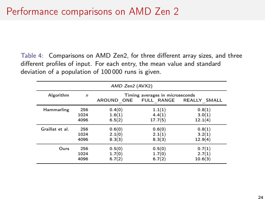Table 4: Comparisons on AMD Zen2, for three different array sizes, and three different profiles of input. For each entry, the mean value and standard deviation of a population of 100 000 runs is given.

| AMD Zen2 (AVX2) |            |                                                                          |         |         |  |
|-----------------|------------|--------------------------------------------------------------------------|---------|---------|--|
| Algorithm       | $\sqrt{n}$ | Timing averages in microseconds<br>AROUND ONE<br>FULL RANGE REALLY SMALL |         |         |  |
| Hammarling      | 256        | 0.4(0)                                                                   | 1.1(1)  | 0.8(1)  |  |
|                 | 1024       | 1.6(1)                                                                   | 4.4(1)  | 3.0(1)  |  |
|                 | 4096       | 6.5(2)                                                                   | 17.7(5) | 12.1(4) |  |
| Graillat et al. | 256        | 0.6(0)                                                                   | 0.6(0)  | 0.8(1)  |  |
|                 | 1024       | 2.1(0)                                                                   | 2.1(1)  | 3.2(1)  |  |
|                 | 4096       | 8.3(3)                                                                   | 8.3(3)  | 12.9(4) |  |
| Ours            | 256        | 0.5(0)                                                                   | 0.5(0)  | 0.7(1)  |  |
|                 | 1024       | 1.7(0)                                                                   | 1.7(0)  | 2.7(1)  |  |
|                 | 4096       | 6.7(2)                                                                   | 6.7(2)  | 10.6(3) |  |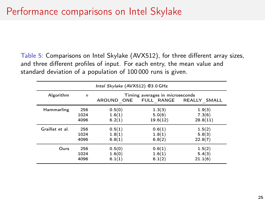Table 5: Comparisons on Intel Skylake (AVX512), for three different array sizes, and three different profiles of input. For each entry, the mean value and standard deviation of a population of 100 000 runs is given.

| Intel Skylake (AVX512) @3.0 GHz |              |                                                                             |          |          |
|---------------------------------|--------------|-----------------------------------------------------------------------------|----------|----------|
| Algorithm                       | $\mathsf{n}$ | Timing averages in microseconds<br>FULL RANGE<br>REALLY SMALL<br>AROUND ONE |          |          |
| Hammarling                      | 256          | 0.5(0)                                                                      | 1.3(3)   | 1.9(3)   |
|                                 | 1024         | 1.6(1)                                                                      | 5.0(6)   | 7.3(6)   |
|                                 | 4096         | 6.2(1)                                                                      | 19.6(12) | 28.8(11) |
| Graillat et al.                 | 256          | 0.5(1)                                                                      | 0.6(1)   | 1.5(2)   |
|                                 | 1024         | 1.8(1)                                                                      | 1.8(1)   | 5.8(3)   |
|                                 | 4096         | 6.8(1)                                                                      | 6.8(2)   | 22.8(7)  |
| Ours                            | 256          | 0.5(0)                                                                      | 0.6(1)   | 1.5(2)   |
|                                 | 1024         | 1.6(0)                                                                      | 1.6(1)   | 5.4(3)   |
|                                 | 4096         | 6.1(1)                                                                      | 6.1(2)   | 21.1(6)  |